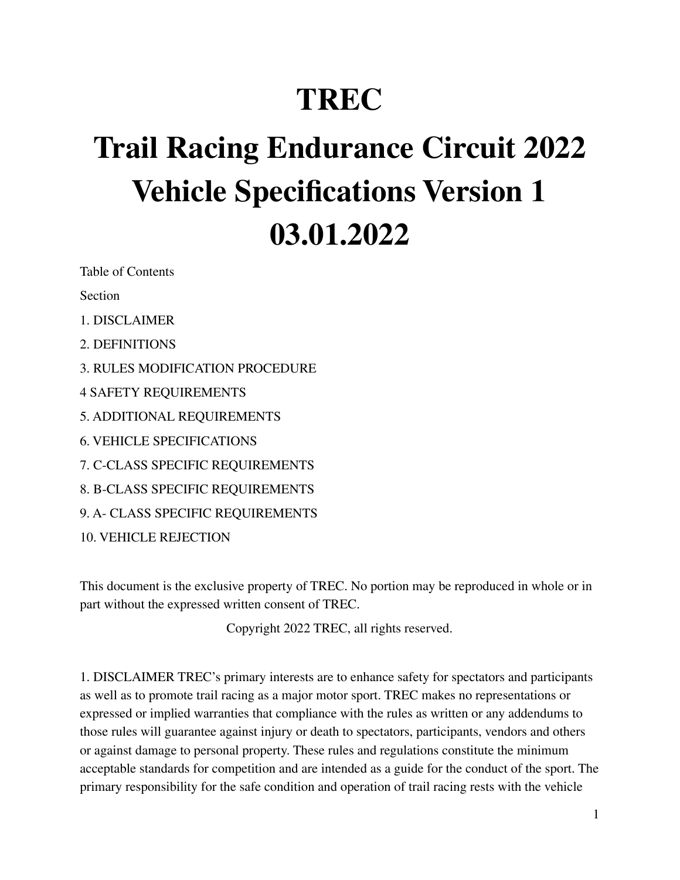# **TREC**

# **Trail Racing Endurance Circuit 2022 Vehicle Specifications Version 1 03.01.2022**

Table of Contents

Section

- 1. DISCLAIMER
- 2. DEFINITIONS
- 3. RULES MODIFICATION PROCEDURE
- 4 SAFETY REQUIREMENTS
- 5. ADDITIONAL REQUIREMENTS
- 6. VEHICLE SPECIFICATIONS
- 7. C-CLASS SPECIFIC REQUIREMENTS
- 8. B-CLASS SPECIFIC REQUIREMENTS
- 9. A- CLASS SPECIFIC REQUIREMENTS

10. VEHICLE REJECTION

This document is the exclusive property of TREC. No portion may be reproduced in whole or in part without the expressed written consent of TREC.

Copyright 2022 TREC, all rights reserved.

1. DISCLAIMER TREC's primary interests are to enhance safety for spectators and participants as well as to promote trail racing as a major motor sport. TREC makes no representations or expressed or implied warranties that compliance with the rules as written or any addendums to those rules will guarantee against injury or death to spectators, participants, vendors and others or against damage to personal property. These rules and regulations constitute the minimum acceptable standards for competition and are intended as a guide for the conduct of the sport. The primary responsibility for the safe condition and operation of trail racing rests with the vehicle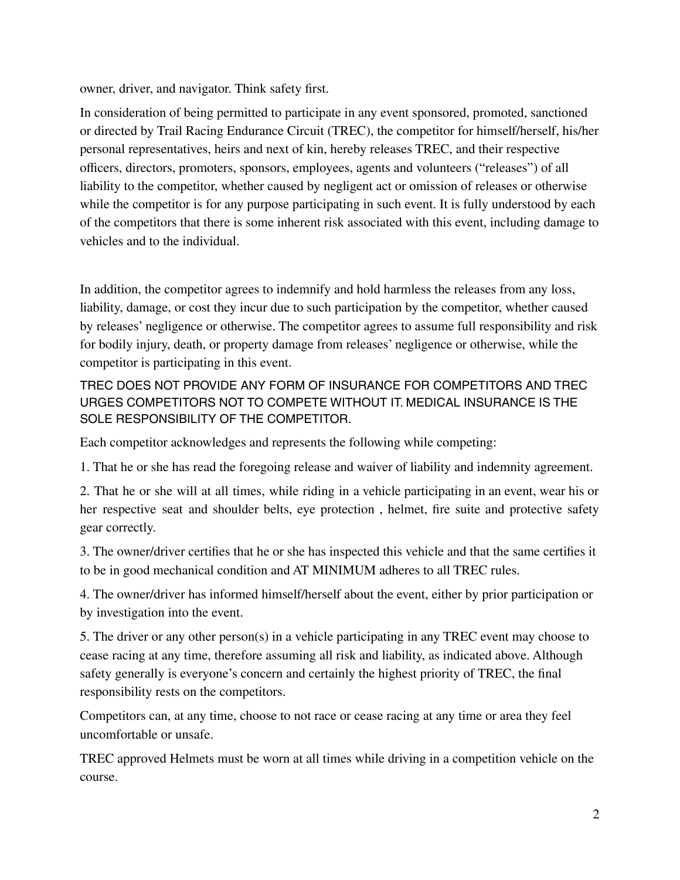owner, driver, and navigator. Think safety first.

In consideration of being permitted to participate in any event sponsored, promoted, sanctioned or directed by Trail Racing Endurance Circuit (TREC), the competitor for himself/herself, his/her personal representatives, heirs and next of kin, hereby releases TREC, and their respective officers, directors, promoters, sponsors, employees, agents and volunteers ("releases") of all liability to the competitor, whether caused by negligent act or omission of releases or otherwise while the competitor is for any purpose participating in such event. It is fully understood by each of the competitors that there is some inherent risk associated with this event, including damage to vehicles and to the individual.

In addition, the competitor agrees to indemnify and hold harmless the releases from any loss, liability, damage, or cost they incur due to such participation by the competitor, whether caused by releases' negligence or otherwise. The competitor agrees to assume full responsibility and risk for bodily injury, death, or property damage from releases' negligence or otherwise, while the competitor is participating in this event.

TREC DOES NOT PROVIDE ANY FORM OF INSURANCE FOR COMPETITORS AND TREC URGES COMPETITORS NOT TO COMPETE WITHOUT IT. MEDICAL INSURANCE IS THE SOLE RESPONSIBILITY OF THE COMPETITOR.

Each competitor acknowledges and represents the following while competing:

1. That he or she has read the foregoing release and waiver of liability and indemnity agreement.

2. That he or she will at all times, while riding in a vehicle participating in an event, wear his or her respective seat and shoulder belts, eye protection , helmet, fire suite and protective safety gear correctly.

3. The owner/driver certifies that he or she has inspected this vehicle and that the same certifies it to be in good mechanical condition and AT MINIMUM adheres to all TREC rules.

4. The owner/driver has informed himself/herself about the event, either by prior participation or by investigation into the event.

5. The driver or any other person(s) in a vehicle participating in any TREC event may choose to cease racing at any time, therefore assuming all risk and liability, as indicated above. Although safety generally is everyone's concern and certainly the highest priority of TREC, the final responsibility rests on the competitors.

Competitors can, at any time, choose to not race or cease racing at any time or area they feel uncomfortable or unsafe.

TREC approved Helmets must be worn at all times while driving in a competition vehicle on the course.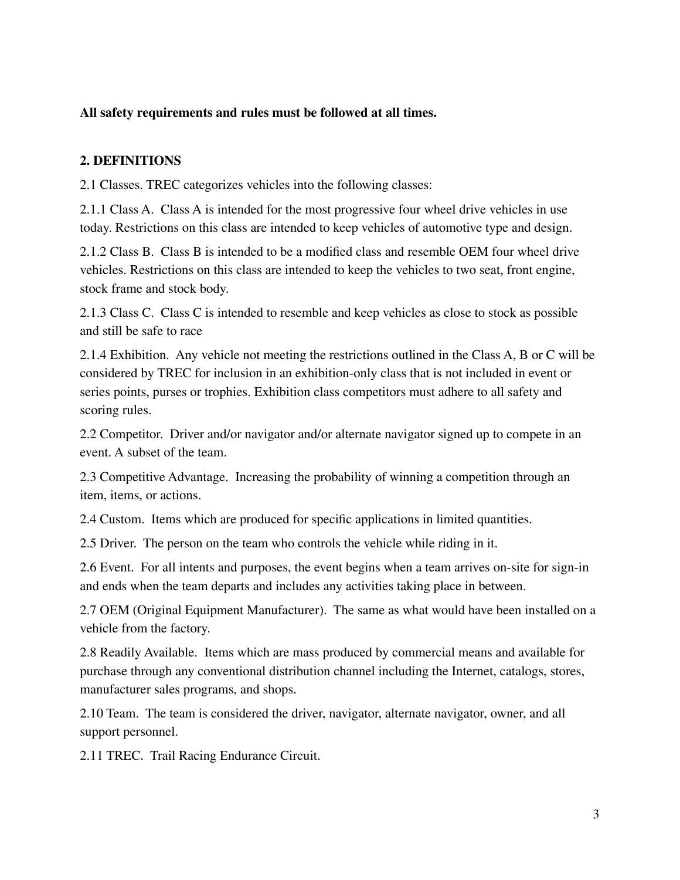#### **All safety requirements and rules must be followed at all times.**

#### **2. DEFINITIONS**

2.1 Classes. TREC categorizes vehicles into the following classes:

2.1.1 Class A. Class A is intended for the most progressive four wheel drive vehicles in use today. Restrictions on this class are intended to keep vehicles of automotive type and design.

2.1.2 Class B. Class B is intended to be a modified class and resemble OEM four wheel drive vehicles. Restrictions on this class are intended to keep the vehicles to two seat, front engine, stock frame and stock body.

2.1.3 Class C. Class C is intended to resemble and keep vehicles as close to stock as possible and still be safe to race

2.1.4 Exhibition. Any vehicle not meeting the restrictions outlined in the Class A, B or C will be considered by TREC for inclusion in an exhibition-only class that is not included in event or series points, purses or trophies. Exhibition class competitors must adhere to all safety and scoring rules.

2.2 Competitor. Driver and/or navigator and/or alternate navigator signed up to compete in an event. A subset of the team.

2.3 Competitive Advantage. Increasing the probability of winning a competition through an item, items, or actions.

2.4 Custom. Items which are produced for specific applications in limited quantities.

2.5 Driver. The person on the team who controls the vehicle while riding in it.

2.6 Event. For all intents and purposes, the event begins when a team arrives on-site for sign-in and ends when the team departs and includes any activities taking place in between.

2.7 OEM (Original Equipment Manufacturer). The same as what would have been installed on a vehicle from the factory.

2.8 Readily Available. Items which are mass produced by commercial means and available for purchase through any conventional distribution channel including the Internet, catalogs, stores, manufacturer sales programs, and shops.

2.10 Team. The team is considered the driver, navigator, alternate navigator, owner, and all support personnel.

2.11 TREC. Trail Racing Endurance Circuit.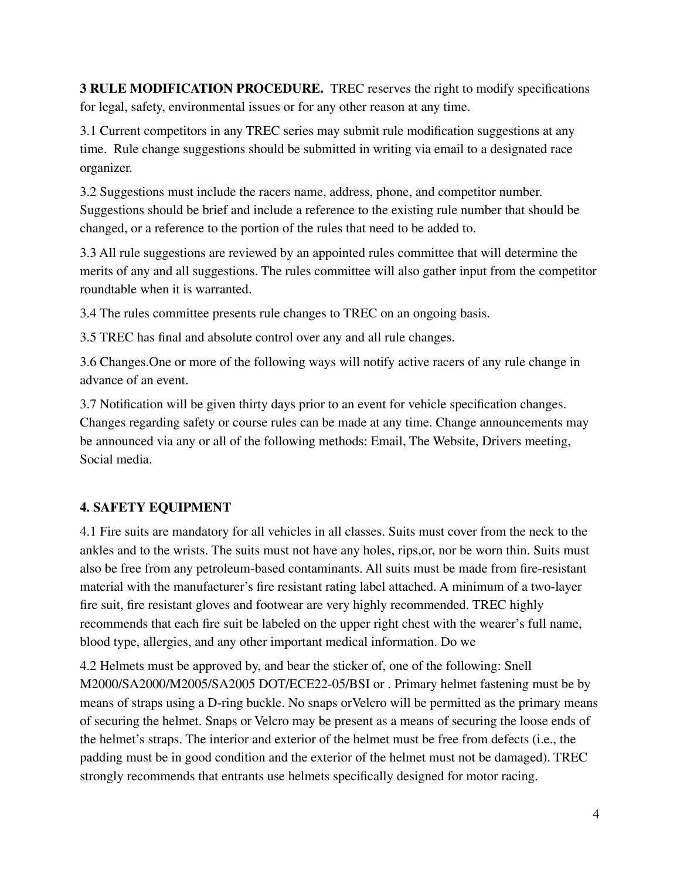**3 RULE MODIFICATION PROCEDURE.** TREC reserves the right to modify specifications for legal, safety, environmental issues or for any other reason at any time.

3.1 Current competitors in any TREC series may submit rule modification suggestions at any time. Rule change suggestions should be submitted in writing via email to a designated race organizer.

3.2 Suggestions must include the racers name, address, phone, and competitor number. Suggestions should be brief and include a reference to the existing rule number that should be changed, or a reference to the portion of the rules that need to be added to.

3.3 All rule suggestions are reviewed by an appointed rules committee that will determine the merits of any and all suggestions. The rules committee will also gather input from the competitor roundtable when it is warranted.

3.4 The rules committee presents rule changes to TREC on an ongoing basis.

3.5 TREC has final and absolute control over any and all rule changes.

3.6 Changes.One or more of the following ways will notify active racers of any rule change in advance of an event.

3.7 Notification will be given thirty days prior to an event for vehicle specification changes. Changes regarding safety or course rules can be made at any time. Change announcements may be announced via any or all of the following methods: Email, The Website, Drivers meeting, Social media.

# **4. SAFETY EQUIPMENT**

4.1 Fire suits are mandatory for all vehicles in all classes. Suits must cover from the neck to the ankles and to the wrists. The suits must not have any holes, rips,or, nor be worn thin. Suits must also be free from any petroleum-based contaminants. All suits must be made from fire-resistant material with the manufacturer's fire resistant rating label attached. A minimum of a two-layer fire suit, fire resistant gloves and footwear are very highly recommended. TREC highly recommends that each fire suit be labeled on the upper right chest with the wearer's full name, blood type, allergies, and any other important medical information. Do we

4.2 Helmets must be approved by, and bear the sticker of, one of the following: Snell M2000/SA2000/M2005/SA2005 DOT/ECE22-05/BSI or . Primary helmet fastening must be by means of straps using a D-ring buckle. No snaps orVelcro will be permitted as the primary means of securing the helmet. Snaps or Velcro may be present as a means of securing the loose ends of the helmet's straps. The interior and exterior of the helmet must be free from defects (i.e., the padding must be in good condition and the exterior of the helmet must not be damaged). TREC strongly recommends that entrants use helmets specifically designed for motor racing.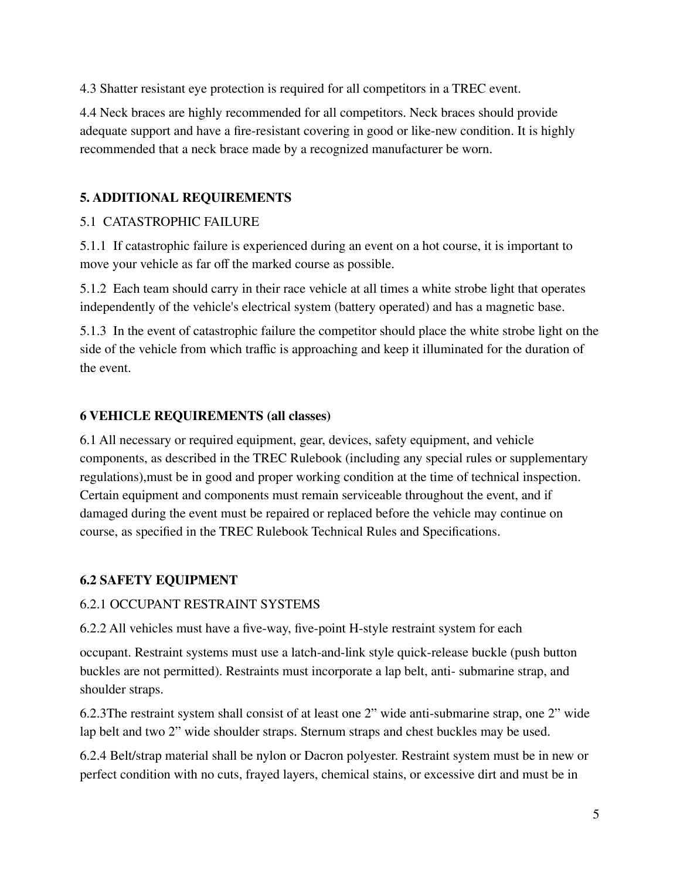4.3 Shatter resistant eye protection is required for all competitors in a TREC event.

4.4 Neck braces are highly recommended for all competitors. Neck braces should provide adequate support and have a fire-resistant covering in good or like-new condition. It is highly recommended that a neck brace made by a recognized manufacturer be worn.

# **5. ADDITIONAL REQUIREMENTS**

# 5.1 CATASTROPHIC FAILURE

5.1.1 If catastrophic failure is experienced during an event on a hot course, it is important to move your vehicle as far off the marked course as possible.

5.1.2 Each team should carry in their race vehicle at all times a white strobe light that operates independently of the vehicle's electrical system (battery operated) and has a magnetic base.

5.1.3 In the event of catastrophic failure the competitor should place the white strobe light on the side of the vehicle from which traffic is approaching and keep it illuminated for the duration of the event.

# **6 VEHICLE REQUIREMENTS (all classes)**

6.1 All necessary or required equipment, gear, devices, safety equipment, and vehicle components, as described in the TREC Rulebook (including any special rules or supplementary regulations),must be in good and proper working condition at the time of technical inspection. Certain equipment and components must remain serviceable throughout the event, and if damaged during the event must be repaired or replaced before the vehicle may continue on course, as specified in the TREC Rulebook Technical Rules and Specifications.

# **6.2 SAFETY EQUIPMENT**

# 6.2.1 OCCUPANT RESTRAINT SYSTEMS

6.2.2 All vehicles must have a five-way, five-point H-style restraint system for each

occupant. Restraint systems must use a latch-and-link style quick-release buckle (push button buckles are not permitted). Restraints must incorporate a lap belt, anti- submarine strap, and shoulder straps.

6.2.3The restraint system shall consist of at least one 2" wide anti-submarine strap, one 2" wide lap belt and two 2" wide shoulder straps. Sternum straps and chest buckles may be used.

6.2.4 Belt/strap material shall be nylon or Dacron polyester. Restraint system must be in new or perfect condition with no cuts, frayed layers, chemical stains, or excessive dirt and must be in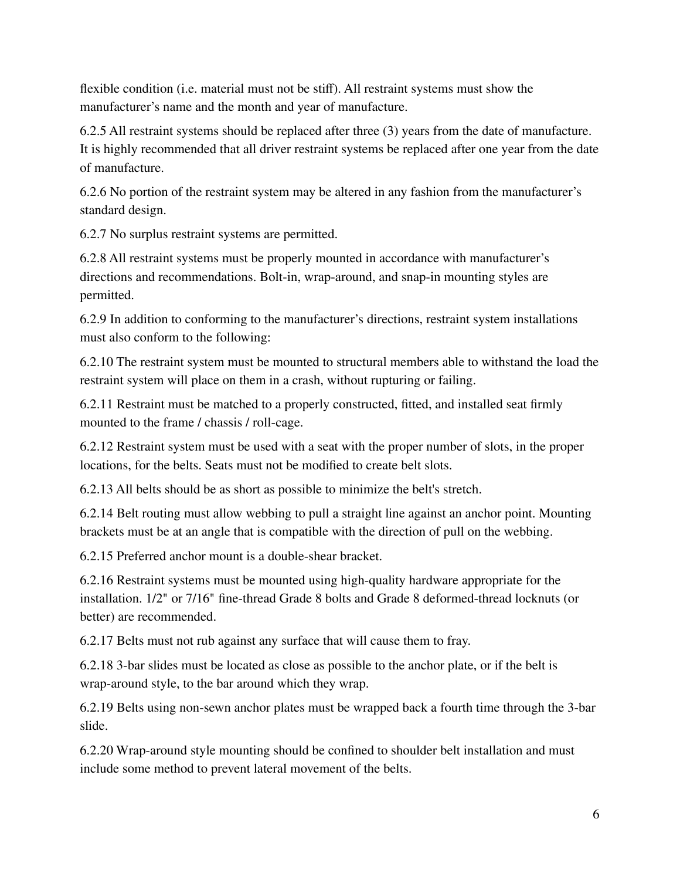flexible condition (i.e. material must not be stiff). All restraint systems must show the manufacturer's name and the month and year of manufacture.

6.2.5 All restraint systems should be replaced after three (3) years from the date of manufacture. It is highly recommended that all driver restraint systems be replaced after one year from the date of manufacture.

6.2.6 No portion of the restraint system may be altered in any fashion from the manufacturer's standard design.

6.2.7 No surplus restraint systems are permitted.

6.2.8 All restraint systems must be properly mounted in accordance with manufacturer's directions and recommendations. Bolt-in, wrap-around, and snap-in mounting styles are permitted.

6.2.9 In addition to conforming to the manufacturer's directions, restraint system installations must also conform to the following:

6.2.10 The restraint system must be mounted to structural members able to withstand the load the restraint system will place on them in a crash, without rupturing or failing.

6.2.11 Restraint must be matched to a properly constructed, fitted, and installed seat firmly mounted to the frame / chassis / roll-cage.

6.2.12 Restraint system must be used with a seat with the proper number of slots, in the proper locations, for the belts. Seats must not be modified to create belt slots.

6.2.13 All belts should be as short as possible to minimize the belt's stretch.

6.2.14 Belt routing must allow webbing to pull a straight line against an anchor point. Mounting brackets must be at an angle that is compatible with the direction of pull on the webbing.

6.2.15 Preferred anchor mount is a double-shear bracket.

6.2.16 Restraint systems must be mounted using high-quality hardware appropriate for the installation. 1/2" or 7/16" fine-thread Grade 8 bolts and Grade 8 deformed-thread locknuts (or better) are recommended.

6.2.17 Belts must not rub against any surface that will cause them to fray.

6.2.18 3-bar slides must be located as close as possible to the anchor plate, or if the belt is wrap-around style, to the bar around which they wrap.

6.2.19 Belts using non-sewn anchor plates must be wrapped back a fourth time through the 3-bar slide.

6.2.20 Wrap-around style mounting should be confined to shoulder belt installation and must include some method to prevent lateral movement of the belts.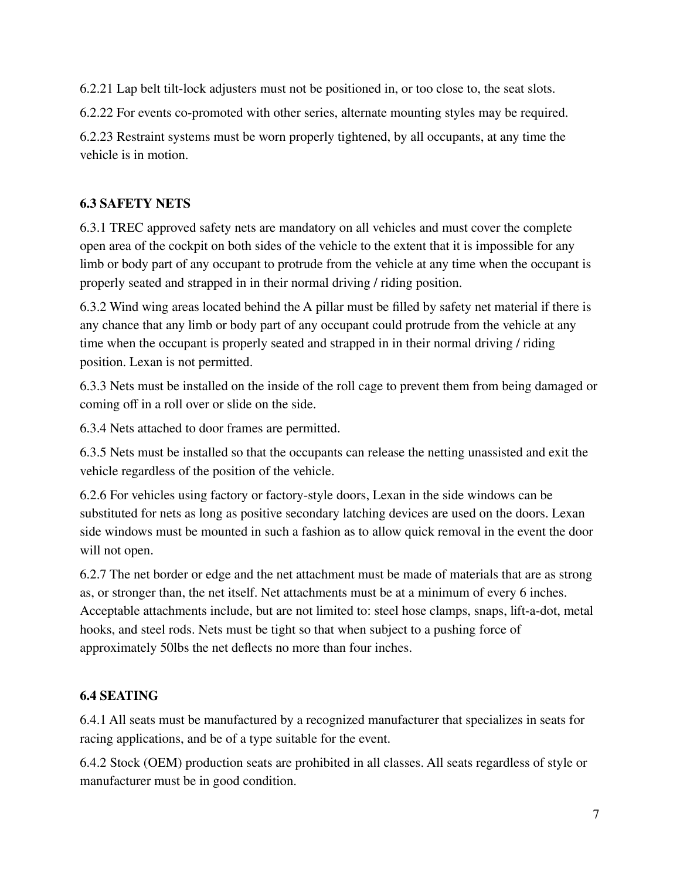6.2.21 Lap belt tilt-lock adjusters must not be positioned in, or too close to, the seat slots.

6.2.22 For events co-promoted with other series, alternate mounting styles may be required.

6.2.23 Restraint systems must be worn properly tightened, by all occupants, at any time the vehicle is in motion.

# **6.3 SAFETY NETS**

6.3.1 TREC approved safety nets are mandatory on all vehicles and must cover the complete open area of the cockpit on both sides of the vehicle to the extent that it is impossible for any limb or body part of any occupant to protrude from the vehicle at any time when the occupant is properly seated and strapped in in their normal driving / riding position.

6.3.2 Wind wing areas located behind the A pillar must be filled by safety net material if there is any chance that any limb or body part of any occupant could protrude from the vehicle at any time when the occupant is properly seated and strapped in in their normal driving / riding position. Lexan is not permitted.

6.3.3 Nets must be installed on the inside of the roll cage to prevent them from being damaged or coming off in a roll over or slide on the side.

6.3.4 Nets attached to door frames are permitted.

6.3.5 Nets must be installed so that the occupants can release the netting unassisted and exit the vehicle regardless of the position of the vehicle.

6.2.6 For vehicles using factory or factory-style doors, Lexan in the side windows can be substituted for nets as long as positive secondary latching devices are used on the doors. Lexan side windows must be mounted in such a fashion as to allow quick removal in the event the door will not open.

6.2.7 The net border or edge and the net attachment must be made of materials that are as strong as, or stronger than, the net itself. Net attachments must be at a minimum of every 6 inches. Acceptable attachments include, but are not limited to: steel hose clamps, snaps, lift-a-dot, metal hooks, and steel rods. Nets must be tight so that when subject to a pushing force of approximately 50lbs the net deflects no more than four inches.

# **6.4 SEATING**

6.4.1 All seats must be manufactured by a recognized manufacturer that specializes in seats for racing applications, and be of a type suitable for the event.

6.4.2 Stock (OEM) production seats are prohibited in all classes. All seats regardless of style or manufacturer must be in good condition.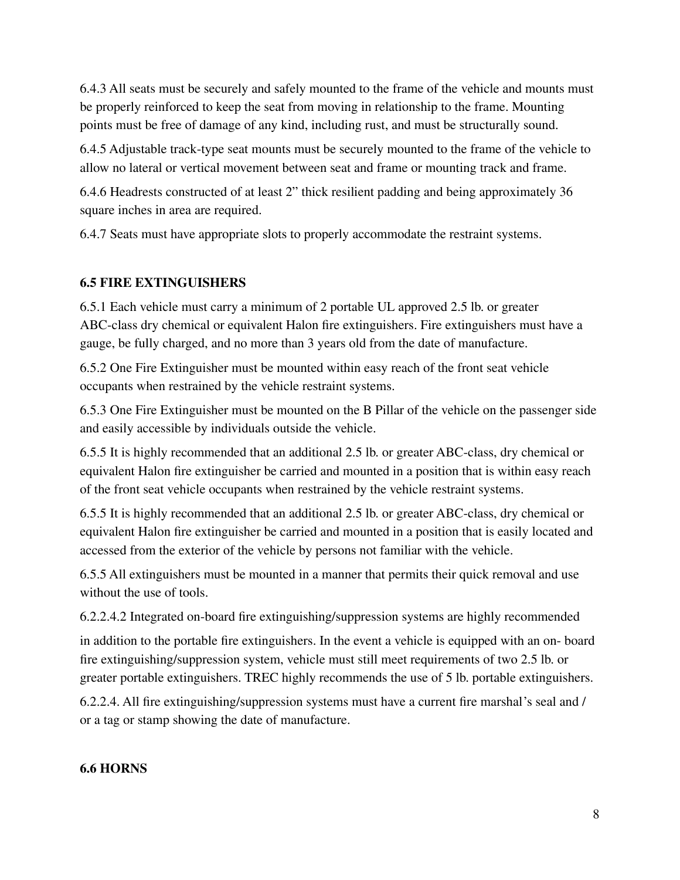6.4.3 All seats must be securely and safely mounted to the frame of the vehicle and mounts must be properly reinforced to keep the seat from moving in relationship to the frame. Mounting points must be free of damage of any kind, including rust, and must be structurally sound.

6.4.5 Adjustable track-type seat mounts must be securely mounted to the frame of the vehicle to allow no lateral or vertical movement between seat and frame or mounting track and frame.

6.4.6 Headrests constructed of at least 2" thick resilient padding and being approximately 36 square inches in area are required.

6.4.7 Seats must have appropriate slots to properly accommodate the restraint systems.

#### **6.5 FIRE EXTINGUISHERS**

6.5.1 Each vehicle must carry a minimum of 2 portable UL approved 2.5 lb. or greater ABC-class dry chemical or equivalent Halon fire extinguishers. Fire extinguishers must have a gauge, be fully charged, and no more than 3 years old from the date of manufacture.

6.5.2 One Fire Extinguisher must be mounted within easy reach of the front seat vehicle occupants when restrained by the vehicle restraint systems.

6.5.3 One Fire Extinguisher must be mounted on the B Pillar of the vehicle on the passenger side and easily accessible by individuals outside the vehicle.

6.5.5 It is highly recommended that an additional 2.5 lb. or greater ABC-class, dry chemical or equivalent Halon fire extinguisher be carried and mounted in a position that is within easy reach of the front seat vehicle occupants when restrained by the vehicle restraint systems.

6.5.5 It is highly recommended that an additional 2.5 lb. or greater ABC-class, dry chemical or equivalent Halon fire extinguisher be carried and mounted in a position that is easily located and accessed from the exterior of the vehicle by persons not familiar with the vehicle.

6.5.5 All extinguishers must be mounted in a manner that permits their quick removal and use without the use of tools.

6.2.2.4.2 Integrated on-board fire extinguishing/suppression systems are highly recommended

in addition to the portable fire extinguishers. In the event a vehicle is equipped with an on- board fire extinguishing/suppression system, vehicle must still meet requirements of two 2.5 lb. or greater portable extinguishers. TREC highly recommends the use of 5 lb. portable extinguishers.

6.2.2.4. All fire extinguishing/suppression systems must have a current fire marshal's seal and / or a tag or stamp showing the date of manufacture.

# **6.6 HORNS**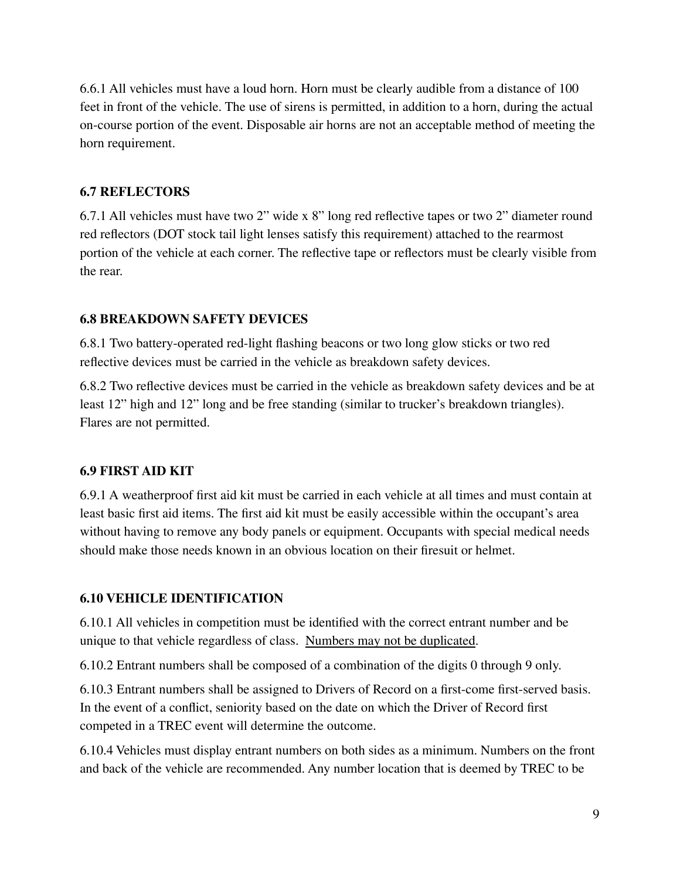6.6.1 All vehicles must have a loud horn. Horn must be clearly audible from a distance of 100 feet in front of the vehicle. The use of sirens is permitted, in addition to a horn, during the actual on-course portion of the event. Disposable air horns are not an acceptable method of meeting the horn requirement.

#### **6.7 REFLECTORS**

6.7.1 All vehicles must have two 2" wide x 8" long red reflective tapes or two 2" diameter round red reflectors (DOT stock tail light lenses satisfy this requirement) attached to the rearmost portion of the vehicle at each corner. The reflective tape or reflectors must be clearly visible from the rear.

#### **6.8 BREAKDOWN SAFETY DEVICES**

6.8.1 Two battery-operated red-light flashing beacons or two long glow sticks or two red reflective devices must be carried in the vehicle as breakdown safety devices.

6.8.2 Two reflective devices must be carried in the vehicle as breakdown safety devices and be at least 12" high and 12" long and be free standing (similar to trucker's breakdown triangles). Flares are not permitted.

#### **6.9 FIRST AID KIT**

6.9.1 A weatherproof first aid kit must be carried in each vehicle at all times and must contain at least basic first aid items. The first aid kit must be easily accessible within the occupant's area without having to remove any body panels or equipment. Occupants with special medical needs should make those needs known in an obvious location on their firesuit or helmet.

#### **6.10 VEHICLE IDENTIFICATION**

6.10.1 All vehicles in competition must be identified with the correct entrant number and be unique to that vehicle regardless of class. Numbers may not be duplicated.

6.10.2 Entrant numbers shall be composed of a combination of the digits 0 through 9 only.

6.10.3 Entrant numbers shall be assigned to Drivers of Record on a first-come first-served basis. In the event of a conflict, seniority based on the date on which the Driver of Record first competed in a TREC event will determine the outcome.

6.10.4 Vehicles must display entrant numbers on both sides as a minimum. Numbers on the front and back of the vehicle are recommended. Any number location that is deemed by TREC to be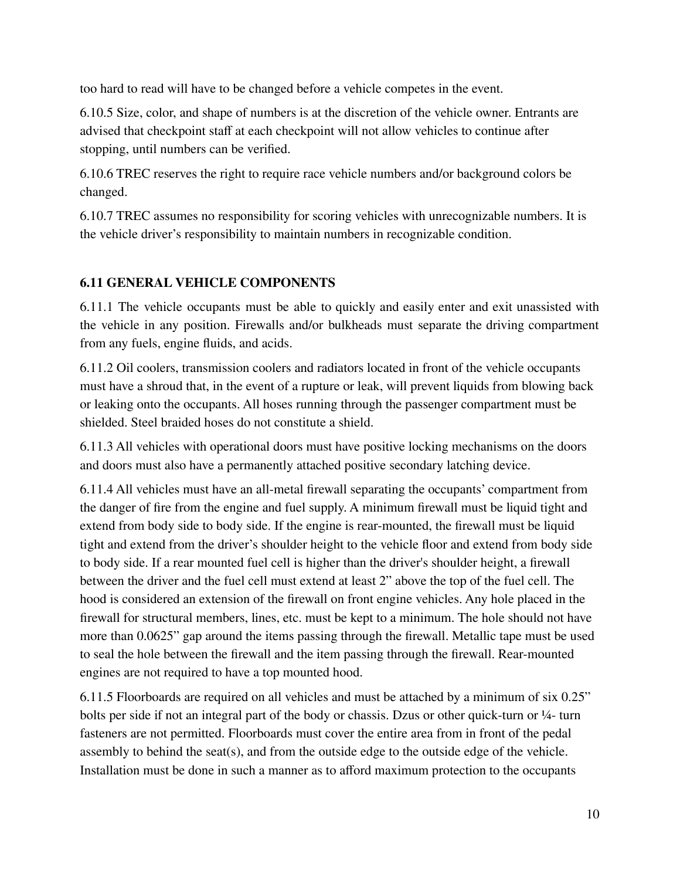too hard to read will have to be changed before a vehicle competes in the event.

6.10.5 Size, color, and shape of numbers is at the discretion of the vehicle owner. Entrants are advised that checkpoint staff at each checkpoint will not allow vehicles to continue after stopping, until numbers can be verified.

6.10.6 TREC reserves the right to require race vehicle numbers and/or background colors be changed.

6.10.7 TREC assumes no responsibility for scoring vehicles with unrecognizable numbers. It is the vehicle driver's responsibility to maintain numbers in recognizable condition.

# **6.11 GENERAL VEHICLE COMPONENTS**

6.11.1 The vehicle occupants must be able to quickly and easily enter and exit unassisted with the vehicle in any position. Firewalls and/or bulkheads must separate the driving compartment from any fuels, engine fluids, and acids.

6.11.2 Oil coolers, transmission coolers and radiators located in front of the vehicle occupants must have a shroud that, in the event of a rupture or leak, will prevent liquids from blowing back or leaking onto the occupants. All hoses running through the passenger compartment must be shielded. Steel braided hoses do not constitute a shield.

6.11.3 All vehicles with operational doors must have positive locking mechanisms on the doors and doors must also have a permanently attached positive secondary latching device.

6.11.4 All vehicles must have an all-metal firewall separating the occupants' compartment from the danger of fire from the engine and fuel supply. A minimum firewall must be liquid tight and extend from body side to body side. If the engine is rear-mounted, the firewall must be liquid tight and extend from the driver's shoulder height to the vehicle floor and extend from body side to body side. If a rear mounted fuel cell is higher than the driver's shoulder height, a firewall between the driver and the fuel cell must extend at least 2" above the top of the fuel cell. The hood is considered an extension of the firewall on front engine vehicles. Any hole placed in the firewall for structural members, lines, etc. must be kept to a minimum. The hole should not have more than 0.0625" gap around the items passing through the firewall. Metallic tape must be used to seal the hole between the firewall and the item passing through the firewall. Rear-mounted engines are not required to have a top mounted hood.

6.11.5 Floorboards are required on all vehicles and must be attached by a minimum of six 0.25" bolts per side if not an integral part of the body or chassis. Dzus or other quick-turn or 1⁄4- turn fasteners are not permitted. Floorboards must cover the entire area from in front of the pedal assembly to behind the seat(s), and from the outside edge to the outside edge of the vehicle. Installation must be done in such a manner as to afford maximum protection to the occupants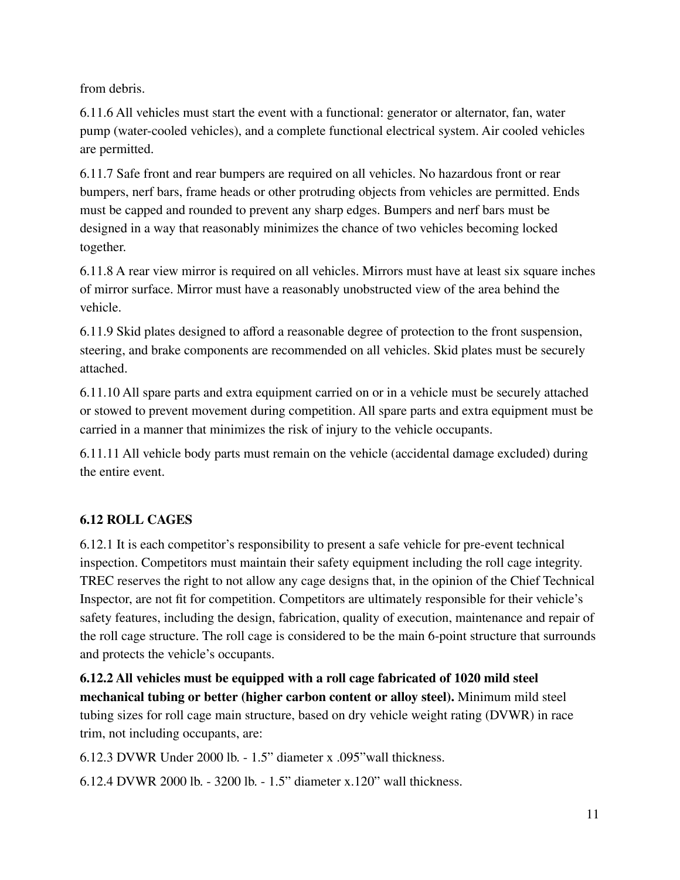from debris.

6.11.6 All vehicles must start the event with a functional: generator or alternator, fan, water pump (water-cooled vehicles), and a complete functional electrical system. Air cooled vehicles are permitted.

6.11.7 Safe front and rear bumpers are required on all vehicles. No hazardous front or rear bumpers, nerf bars, frame heads or other protruding objects from vehicles are permitted. Ends must be capped and rounded to prevent any sharp edges. Bumpers and nerf bars must be designed in a way that reasonably minimizes the chance of two vehicles becoming locked together.

6.11.8 A rear view mirror is required on all vehicles. Mirrors must have at least six square inches of mirror surface. Mirror must have a reasonably unobstructed view of the area behind the vehicle.

6.11.9 Skid plates designed to afford a reasonable degree of protection to the front suspension, steering, and brake components are recommended on all vehicles. Skid plates must be securely attached.

6.11.10 All spare parts and extra equipment carried on or in a vehicle must be securely attached or stowed to prevent movement during competition. All spare parts and extra equipment must be carried in a manner that minimizes the risk of injury to the vehicle occupants.

6.11.11 All vehicle body parts must remain on the vehicle (accidental damage excluded) during the entire event.

# **6.12 ROLL CAGES**

6.12.1 It is each competitor's responsibility to present a safe vehicle for pre-event technical inspection. Competitors must maintain their safety equipment including the roll cage integrity. TREC reserves the right to not allow any cage designs that, in the opinion of the Chief Technical Inspector, are not fit for competition. Competitors are ultimately responsible for their vehicle's safety features, including the design, fabrication, quality of execution, maintenance and repair of the roll cage structure. The roll cage is considered to be the main 6-point structure that surrounds and protects the vehicle's occupants.

**6.12.2 All vehicles must be equipped with a roll cage fabricated of 1020 mild steel mechanical tubing or better (higher carbon content or alloy steel).** Minimum mild steel tubing sizes for roll cage main structure, based on dry vehicle weight rating (DVWR) in race trim, not including occupants, are:

6.12.3 DVWR Under 2000 lb. - 1.5" diameter x .095"wall thickness.

6.12.4 DVWR 2000 lb. - 3200 lb. - 1.5" diameter x.120" wall thickness.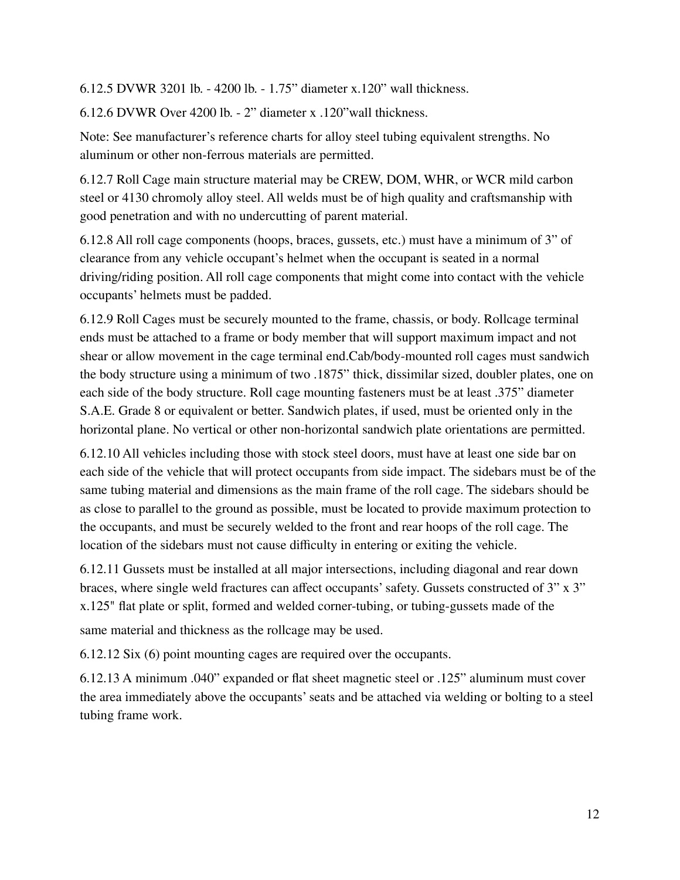6.12.5 DVWR 3201 lb. - 4200 lb. - 1.75" diameter x.120" wall thickness.

6.12.6 DVWR Over 4200 lb. - 2" diameter x .120"wall thickness.

Note: See manufacturer's reference charts for alloy steel tubing equivalent strengths. No aluminum or other non-ferrous materials are permitted.

6.12.7 Roll Cage main structure material may be CREW, DOM, WHR, or WCR mild carbon steel or 4130 chromoly alloy steel. All welds must be of high quality and craftsmanship with good penetration and with no undercutting of parent material.

6.12.8 All roll cage components (hoops, braces, gussets, etc.) must have a minimum of 3" of clearance from any vehicle occupant's helmet when the occupant is seated in a normal driving/riding position. All roll cage components that might come into contact with the vehicle occupants' helmets must be padded.

6.12.9 Roll Cages must be securely mounted to the frame, chassis, or body. Rollcage terminal ends must be attached to a frame or body member that will support maximum impact and not shear or allow movement in the cage terminal end.Cab/body-mounted roll cages must sandwich the body structure using a minimum of two .1875" thick, dissimilar sized, doubler plates, one on each side of the body structure. Roll cage mounting fasteners must be at least .375" diameter S.A.E. Grade 8 or equivalent or better. Sandwich plates, if used, must be oriented only in the horizontal plane. No vertical or other non-horizontal sandwich plate orientations are permitted.

6.12.10 All vehicles including those with stock steel doors, must have at least one side bar on each side of the vehicle that will protect occupants from side impact. The sidebars must be of the same tubing material and dimensions as the main frame of the roll cage. The sidebars should be as close to parallel to the ground as possible, must be located to provide maximum protection to the occupants, and must be securely welded to the front and rear hoops of the roll cage. The location of the sidebars must not cause difficulty in entering or exiting the vehicle.

6.12.11 Gussets must be installed at all major intersections, including diagonal and rear down braces, where single weld fractures can affect occupants'safety. Gussets constructed of 3" x 3" x.125" flat plate or split, formed and welded corner-tubing, or tubing-gussets made of the

same material and thickness as the rollcage may be used.

6.12.12 Six (6) point mounting cages are required over the occupants.

6.12.13 A minimum .040" expanded or flat sheet magnetic steel or .125" aluminum must cover the area immediately above the occupants'seats and be attached via welding or bolting to a steel tubing frame work.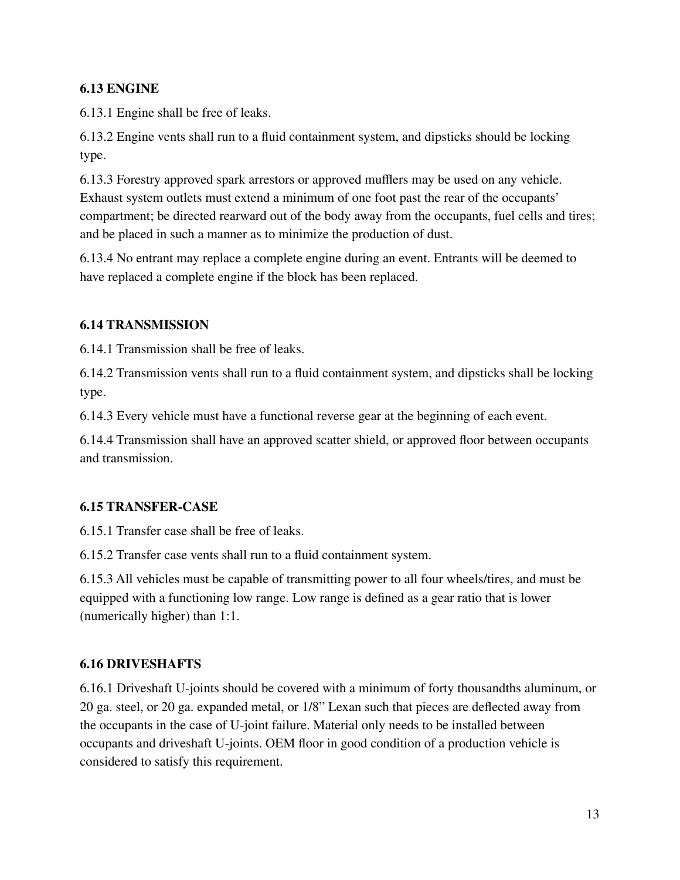#### **6.13 ENGINE**

6.13.1 Engine shall be free of leaks.

6.13.2 Engine vents shall run to a fluid containment system, and dipsticks should be locking type.

6.13.3 Forestry approved spark arrestors or approved mufflers may be used on any vehicle. Exhaust system outlets must extend a minimum of one foot past the rear of the occupants' compartment; be directed rearward out of the body away from the occupants, fuel cells and tires; and be placed in such a manner as to minimize the production of dust.

6.13.4 No entrant may replace a complete engine during an event. Entrants will be deemed to have replaced a complete engine if the block has been replaced.

#### **6.14 TRANSMISSION**

6.14.1 Transmission shall be free of leaks.

6.14.2 Transmission vents shall run to a fluid containment system, and dipsticks shall be locking type.

6.14.3 Every vehicle must have a functional reverse gear at the beginning of each event.

6.14.4 Transmission shall have an approved scatter shield, or approved floor between occupants and transmission.

#### **6.15 TRANSFER-CASE**

6.15.1 Transfer case shall be free of leaks.

6.15.2 Transfer case vents shall run to a fluid containment system.

6.15.3 All vehicles must be capable of transmitting power to all four wheels/tires, and must be equipped with a functioning low range. Low range is defined as a gear ratio that is lower (numerically higher) than 1:1.

#### **6.16 DRIVESHAFTS**

6.16.1 Driveshaft U-joints should be covered with a minimum of forty thousandths aluminum, or 20 ga. steel, or 20 ga. expanded metal, or 1/8" Lexan such that pieces are deflected away from the occupants in the case of U-joint failure. Material only needs to be installed between occupants and driveshaft U-joints. OEM floor in good condition of a production vehicle is considered to satisfy this requirement.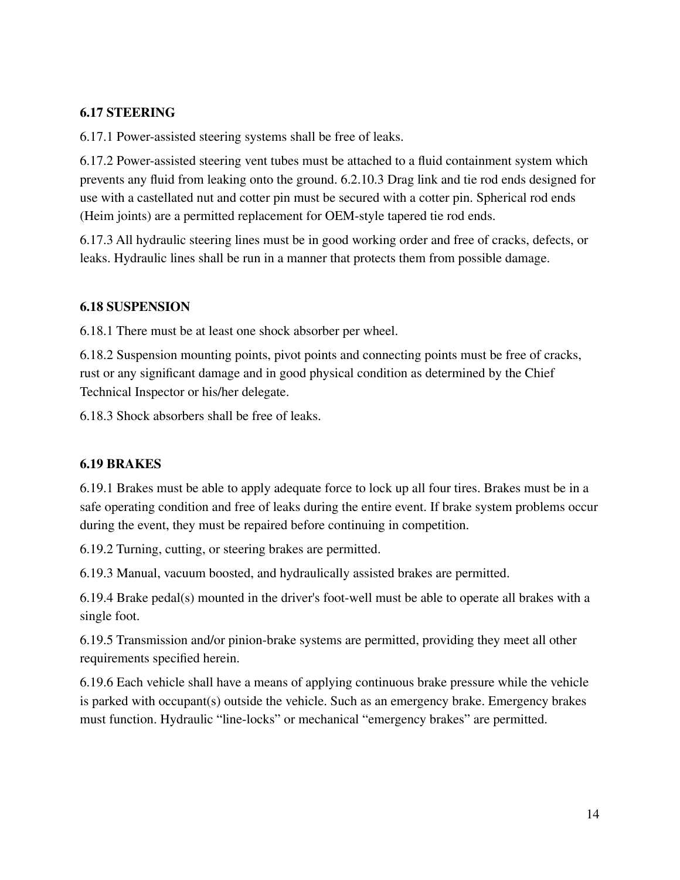#### **6.17 STEERING**

6.17.1 Power-assisted steering systems shall be free of leaks.

6.17.2 Power-assisted steering vent tubes must be attached to a fluid containment system which prevents any fluid from leaking onto the ground. 6.2.10.3 Drag link and tie rod ends designed for use with a castellated nut and cotter pin must be secured with a cotter pin. Spherical rod ends (Heim joints) are a permitted replacement for OEM-style tapered tie rod ends.

6.17.3 All hydraulic steering lines must be in good working order and free of cracks, defects, or leaks. Hydraulic lines shall be run in a manner that protects them from possible damage.

#### **6.18 SUSPENSION**

6.18.1 There must be at least one shock absorber per wheel.

6.18.2 Suspension mounting points, pivot points and connecting points must be free of cracks, rust or any significant damage and in good physical condition as determined by the Chief Technical Inspector or his/her delegate.

6.18.3 Shock absorbers shall be free of leaks.

#### **6.19 BRAKES**

6.19.1 Brakes must be able to apply adequate force to lock up all four tires. Brakes must be in a safe operating condition and free of leaks during the entire event. If brake system problems occur during the event, they must be repaired before continuing in competition.

6.19.2 Turning, cutting, or steering brakes are permitted.

6.19.3 Manual, vacuum boosted, and hydraulically assisted brakes are permitted.

6.19.4 Brake pedal(s) mounted in the driver's foot-well must be able to operate all brakes with a single foot.

6.19.5 Transmission and/or pinion-brake systems are permitted, providing they meet all other requirements specified herein.

6.19.6 Each vehicle shall have a means of applying continuous brake pressure while the vehicle is parked with occupant(s) outside the vehicle. Such as an emergency brake. Emergency brakes must function. Hydraulic "line-locks" or mechanical "emergency brakes" are permitted.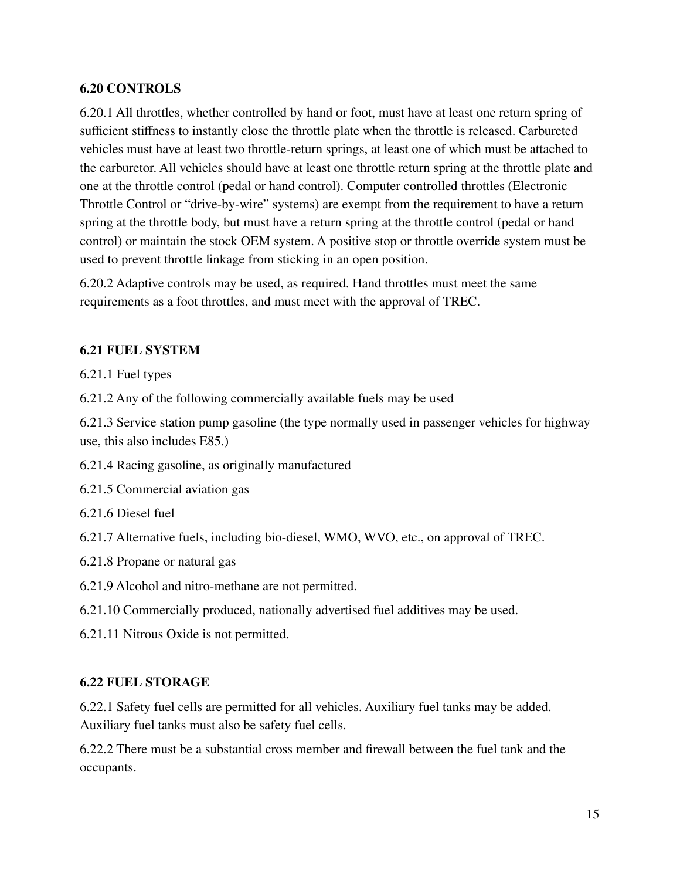#### **6.20 CONTROLS**

6.20.1 All throttles, whether controlled by hand or foot, must have at least one return spring of sufficient stiffness to instantly close the throttle plate when the throttle is released. Carbureted vehicles must have at least two throttle-return springs, at least one of which must be attached to the carburetor. All vehicles should have at least one throttle return spring at the throttle plate and one at the throttle control (pedal or hand control). Computer controlled throttles (Electronic Throttle Control or "drive-by-wire" systems) are exempt from the requirement to have a return spring at the throttle body, but must have a return spring at the throttle control (pedal or hand control) or maintain the stock OEM system. A positive stop or throttle override system must be used to prevent throttle linkage from sticking in an open position.

6.20.2 Adaptive controls may be used, as required. Hand throttles must meet the same requirements as a foot throttles, and must meet with the approval of TREC.

#### **6.21 FUEL SYSTEM**

6.21.1 Fuel types

6.21.2 Any of the following commercially available fuels may be used

6.21.3 Service station pump gasoline (the type normally used in passenger vehicles for highway use, this also includes E85.)

- 6.21.4 Racing gasoline, as originally manufactured
- 6.21.5 Commercial aviation gas
- 6.21.6 Diesel fuel
- 6.21.7 Alternative fuels, including bio-diesel, WMO, WVO, etc., on approval of TREC.
- 6.21.8 Propane or natural gas
- 6.21.9 Alcohol and nitro-methane are not permitted.
- 6.21.10 Commercially produced, nationally advertised fuel additives may be used.
- 6.21.11 Nitrous Oxide is not permitted.

#### **6.22 FUEL STORAGE**

6.22.1 Safety fuel cells are permitted for all vehicles. Auxiliary fuel tanks may be added. Auxiliary fuel tanks must also be safety fuel cells.

6.22.2 There must be a substantial cross member and firewall between the fuel tank and the occupants.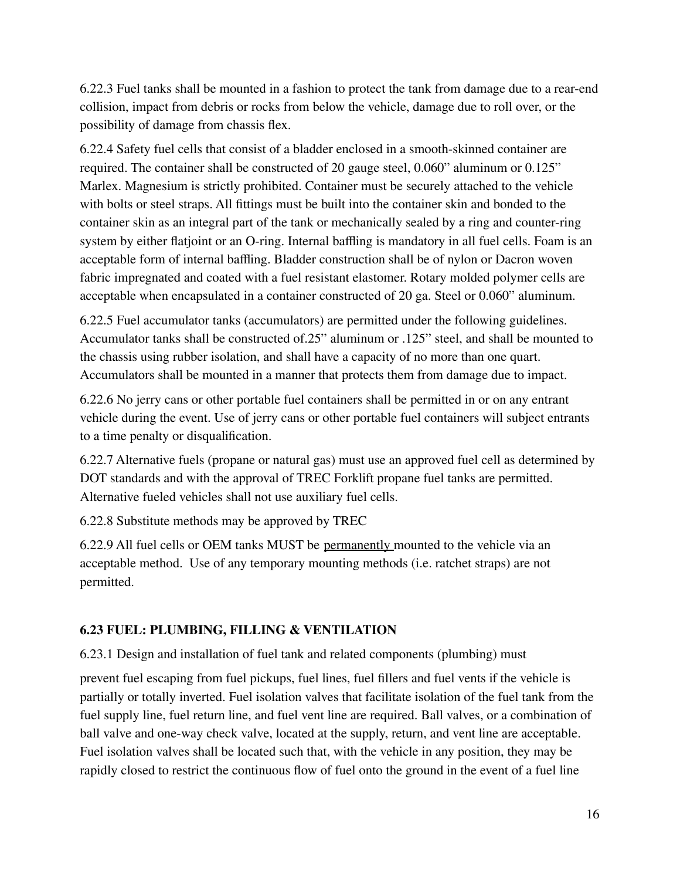6.22.3 Fuel tanks shall be mounted in a fashion to protect the tank from damage due to a rear-end collision, impact from debris or rocks from below the vehicle, damage due to roll over, or the possibility of damage from chassis flex.

6.22.4 Safety fuel cells that consist of a bladder enclosed in a smooth-skinned container are required. The container shall be constructed of 20 gauge steel, 0.060" aluminum or 0.125" Marlex. Magnesium is strictly prohibited. Container must be securely attached to the vehicle with bolts or steel straps. All fittings must be built into the container skin and bonded to the container skin as an integral part of the tank or mechanically sealed by a ring and counter-ring system by either flatjoint or an O-ring. Internal baffling is mandatory in all fuel cells. Foam is an acceptable form of internal baffling. Bladder construction shall be of nylon or Dacron woven fabric impregnated and coated with a fuel resistant elastomer. Rotary molded polymer cells are acceptable when encapsulated in a container constructed of 20 ga. Steel or 0.060" aluminum.

6.22.5 Fuel accumulator tanks (accumulators) are permitted under the following guidelines. Accumulator tanks shall be constructed of.25" aluminum or .125" steel, and shall be mounted to the chassis using rubber isolation, and shall have a capacity of no more than one quart. Accumulators shall be mounted in a manner that protects them from damage due to impact.

6.22.6 No jerry cans or other portable fuel containers shall be permitted in or on any entrant vehicle during the event. Use of jerry cans or other portable fuel containers will subject entrants to a time penalty or disqualification.

6.22.7 Alternative fuels (propane or natural gas) must use an approved fuel cell as determined by DOT standards and with the approval of TREC Forklift propane fuel tanks are permitted. Alternative fueled vehicles shall not use auxiliary fuel cells.

6.22.8 Substitute methods may be approved by TREC

6.22.9 All fuel cells or OEM tanks MUST be permanently mounted to the vehicle via an acceptable method. Use of any temporary mounting methods (i.e. ratchet straps) are not permitted.

# **6.23 FUEL: PLUMBING, FILLING & VENTILATION**

6.23.1 Design and installation of fuel tank and related components (plumbing) must

prevent fuel escaping from fuel pickups, fuel lines, fuel fillers and fuel vents if the vehicle is partially or totally inverted. Fuel isolation valves that facilitate isolation of the fuel tank from the fuel supply line, fuel return line, and fuel vent line are required. Ball valves, or a combination of ball valve and one-way check valve, located at the supply, return, and vent line are acceptable. Fuel isolation valves shall be located such that, with the vehicle in any position, they may be rapidly closed to restrict the continuous flow of fuel onto the ground in the event of a fuel line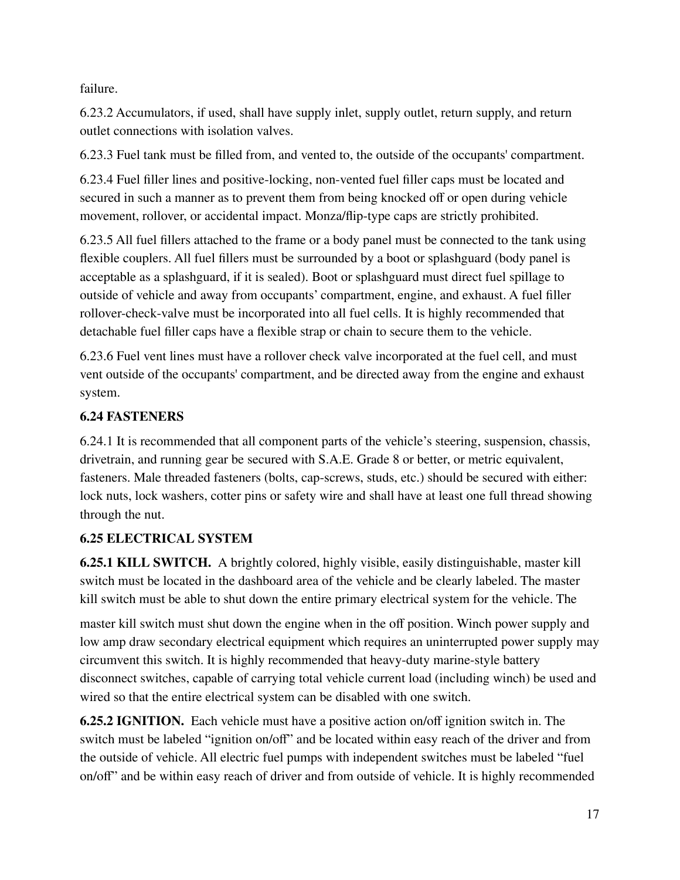failure.

6.23.2 Accumulators, if used, shall have supply inlet, supply outlet, return supply, and return outlet connections with isolation valves.

6.23.3 Fuel tank must be filled from, and vented to, the outside of the occupants' compartment.

6.23.4 Fuel filler lines and positive-locking, non-vented fuel filler caps must be located and secured in such a manner as to prevent them from being knocked off or open during vehicle movement, rollover, or accidental impact. Monza/flip-type caps are strictly prohibited.

6.23.5 All fuel fillers attached to the frame or a body panel must be connected to the tank using flexible couplers. All fuel fillers must be surrounded by a boot or splashguard (body panel is acceptable as a splashguard, if it is sealed). Boot or splashguard must direct fuel spillage to outside of vehicle and away from occupants' compartment, engine, and exhaust. A fuel filler rollover-check-valve must be incorporated into all fuel cells. It is highly recommended that detachable fuel filler caps have a flexible strap or chain to secure them to the vehicle.

6.23.6 Fuel vent lines must have a rollover check valve incorporated at the fuel cell, and must vent outside of the occupants' compartment, and be directed away from the engine and exhaust system.

# **6.24 FASTENERS**

6.24.1 It is recommended that all component parts of the vehicle's steering, suspension, chassis, drivetrain, and running gear be secured with S.A.E. Grade 8 or better, or metric equivalent, fasteners. Male threaded fasteners (bolts, cap-screws, studs, etc.) should be secured with either: lock nuts, lock washers, cotter pins or safety wire and shall have at least one full thread showing through the nut.

# **6.25 ELECTRICAL SYSTEM**

**6.25.1 KILL SWITCH.** A brightly colored, highly visible, easily distinguishable, master kill switch must be located in the dashboard area of the vehicle and be clearly labeled. The master kill switch must be able to shut down the entire primary electrical system for the vehicle. The

master kill switch must shut down the engine when in the off position. Winch power supply and low amp draw secondary electrical equipment which requires an uninterrupted power supply may circumvent this switch. It is highly recommended that heavy-duty marine-style battery disconnect switches, capable of carrying total vehicle current load (including winch) be used and wired so that the entire electrical system can be disabled with one switch.

**6.25.2 IGNITION.** Each vehicle must have a positive action on/off ignition switch in. The switch must be labeled "ignition on/off" and be located within easy reach of the driver and from the outside of vehicle. All electric fuel pumps with independent switches must be labeled "fuel on/off" and be within easy reach of driver and from outside of vehicle. It is highly recommended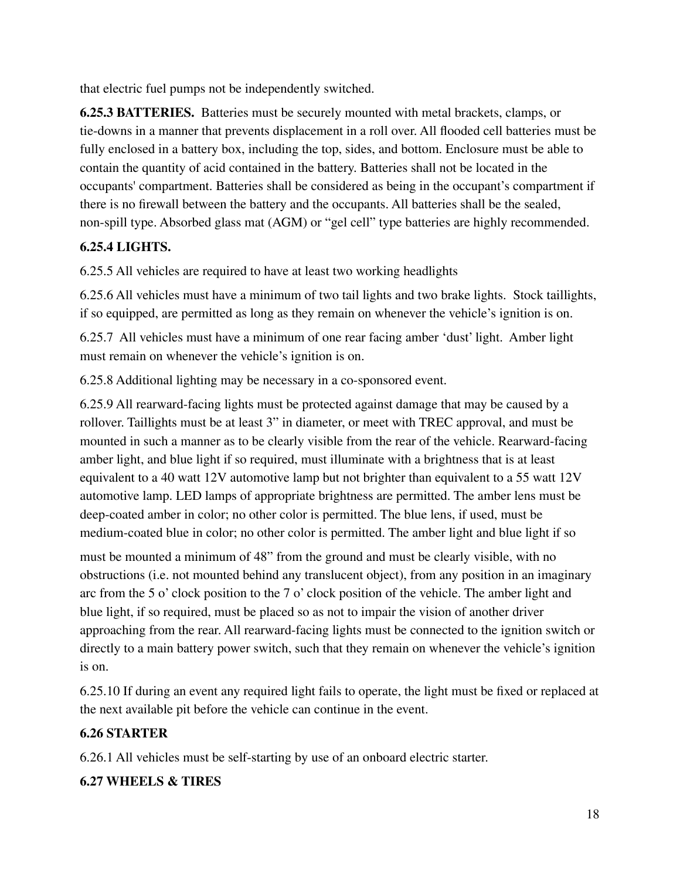that electric fuel pumps not be independently switched.

**6.25.3 BATTERIES.** Batteries must be securely mounted with metal brackets, clamps, or tie-downs in a manner that prevents displacement in a roll over. All flooded cell batteries must be fully enclosed in a battery box, including the top, sides, and bottom. Enclosure must be able to contain the quantity of acid contained in the battery. Batteries shall not be located in the occupants' compartment. Batteries shall be considered as being in the occupant's compartment if there is no firewall between the battery and the occupants. All batteries shall be the sealed, non-spill type. Absorbed glass mat (AGM) or "gel cell" type batteries are highly recommended.

# **6.25.4 LIGHTS.**

6.25.5 All vehicles are required to have at least two working headlights

6.25.6 All vehicles must have a minimum of two tail lights and two brake lights. Stock taillights, if so equipped, are permitted as long as they remain on whenever the vehicle's ignition is on.

6.25.7 All vehicles must have a minimum of one rear facing amber 'dust' light. Amber light must remain on whenever the vehicle's ignition is on.

6.25.8 Additional lighting may be necessary in a co-sponsored event.

6.25.9 All rearward-facing lights must be protected against damage that may be caused by a rollover. Taillights must be at least 3" in diameter, or meet with TREC approval, and must be mounted in such a manner as to be clearly visible from the rear of the vehicle. Rearward-facing amber light, and blue light if so required, must illuminate with a brightness that is at least equivalent to a 40 watt 12V automotive lamp but not brighter than equivalent to a 55 watt 12V automotive lamp. LED lamps of appropriate brightness are permitted. The amber lens must be deep-coated amber in color; no other color is permitted. The blue lens, if used, must be medium-coated blue in color; no other color is permitted. The amber light and blue light if so

must be mounted a minimum of 48" from the ground and must be clearly visible, with no obstructions (i.e. not mounted behind any translucent object), from any position in an imaginary arc from the 5 o' clock position to the 7 o' clock position of the vehicle. The amber light and blue light, if so required, must be placed so as not to impair the vision of another driver approaching from the rear. All rearward-facing lights must be connected to the ignition switch or directly to a main battery power switch, such that they remain on whenever the vehicle's ignition is on.

6.25.10 If during an event any required light fails to operate, the light must be fixed or replaced at the next available pit before the vehicle can continue in the event.

# **6.26 STARTER**

6.26.1 All vehicles must be self-starting by use of an onboard electric starter.

# **6.27 WHEELS & TIRES**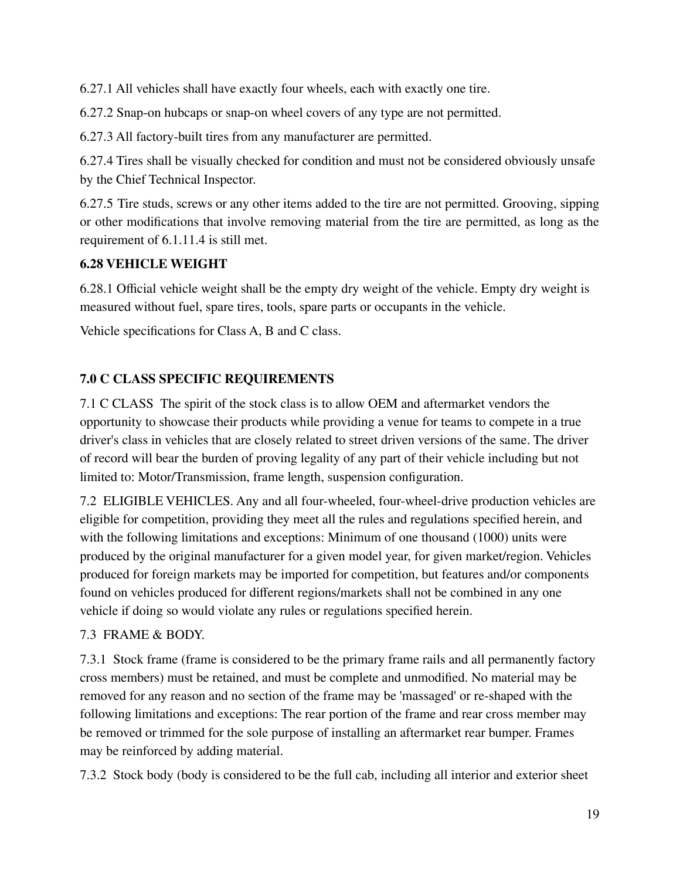6.27.1 All vehicles shall have exactly four wheels, each with exactly one tire.

6.27.2 Snap-on hubcaps or snap-on wheel covers of any type are not permitted.

6.27.3 All factory-built tires from any manufacturer are permitted.

6.27.4 Tires shall be visually checked for condition and must not be considered obviously unsafe by the Chief Technical Inspector.

6.27.5 Tire studs, screws or any other items added to the tire are not permitted. Grooving, sipping or other modifications that involve removing material from the tire are permitted, as long as the requirement of 6.1.11.4 is still met.

# **6.28 VEHICLE WEIGHT**

6.28.1 Official vehicle weight shall be the empty dry weight of the vehicle. Empty dry weight is measured without fuel, spare tires, tools, spare parts or occupants in the vehicle.

Vehicle specifications for Class A, B and C class.

# **7.0 C CLASS SPECIFIC REQUIREMENTS**

7.1 C CLASS The spirit of the stock class is to allow OEM and aftermarket vendors the opportunity to showcase their products while providing a venue for teams to compete in a true driver's class in vehicles that are closely related to street driven versions of the same. The driver of record will bear the burden of proving legality of any part of their vehicle including but not limited to: Motor/Transmission, frame length, suspension configuration.

7.2 ELIGIBLE VEHICLES. Any and all four-wheeled, four-wheel-drive production vehicles are eligible for competition, providing they meet all the rules and regulations specified herein, and with the following limitations and exceptions: Minimum of one thousand (1000) units were produced by the original manufacturer for a given model year, for given market/region. Vehicles produced for foreign markets may be imported for competition, but features and/or components found on vehicles produced for different regions/markets shall not be combined in any one vehicle if doing so would violate any rules or regulations specified herein.

#### 7.3 FRAME & BODY.

7.3.1 Stock frame (frame is considered to be the primary frame rails and all permanently factory cross members) must be retained, and must be complete and unmodified. No material may be removed for any reason and no section of the frame may be 'massaged' or re-shaped with the following limitations and exceptions: The rear portion of the frame and rear cross member may be removed or trimmed for the sole purpose of installing an aftermarket rear bumper. Frames may be reinforced by adding material.

7.3.2 Stock body (body is considered to be the full cab, including all interior and exterior sheet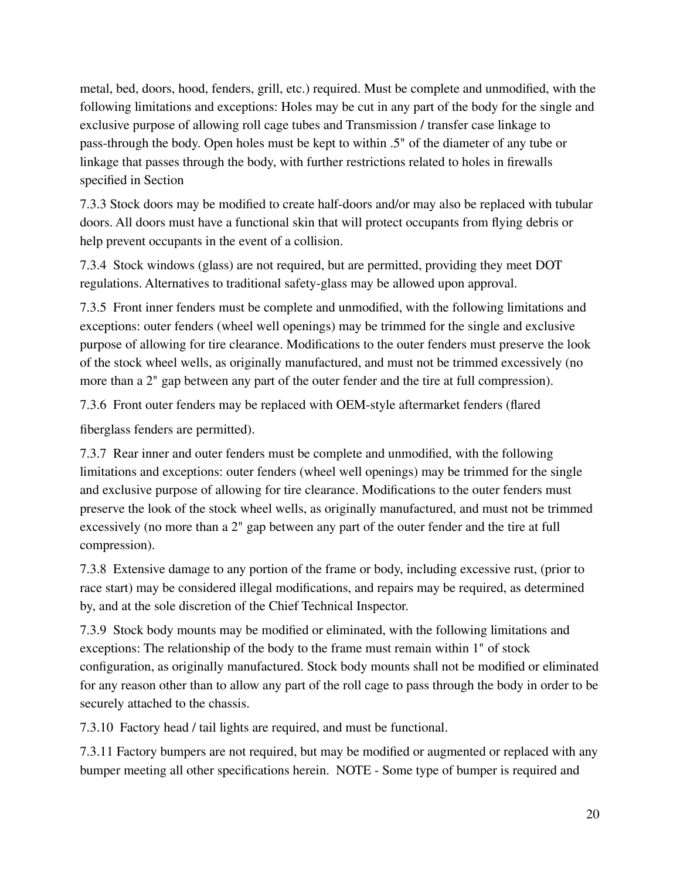metal, bed, doors, hood, fenders, grill, etc.) required. Must be complete and unmodified, with the following limitations and exceptions: Holes may be cut in any part of the body for the single and exclusive purpose of allowing roll cage tubes and Transmission / transfer case linkage to pass-through the body. Open holes must be kept to within .5" of the diameter of any tube or linkage that passes through the body, with further restrictions related to holes in firewalls specified in Section

7.3.3 Stock doors may be modified to create half-doors and/or may also be replaced with tubular doors. All doors must have a functional skin that will protect occupants from flying debris or help prevent occupants in the event of a collision.

7.3.4 Stock windows (glass) are not required, but are permitted, providing they meet DOT regulations. Alternatives to traditional safety-glass may be allowed upon approval.

7.3.5 Front inner fenders must be complete and unmodified, with the following limitations and exceptions: outer fenders (wheel well openings) may be trimmed for the single and exclusive purpose of allowing for tire clearance. Modifications to the outer fenders must preserve the look of the stock wheel wells, as originally manufactured, and must not be trimmed excessively (no more than a 2" gap between any part of the outer fender and the tire at full compression).

7.3.6 Front outer fenders may be replaced with OEM-style aftermarket fenders (flared

fiberglass fenders are permitted).

7.3.7 Rear inner and outer fenders must be complete and unmodified, with the following limitations and exceptions: outer fenders (wheel well openings) may be trimmed for the single and exclusive purpose of allowing for tire clearance. Modifications to the outer fenders must preserve the look of the stock wheel wells, as originally manufactured, and must not be trimmed excessively (no more than a 2" gap between any part of the outer fender and the tire at full compression).

7.3.8 Extensive damage to any portion of the frame or body, including excessive rust, (prior to race start) may be considered illegal modifications, and repairs may be required, as determined by, and at the sole discretion of the Chief Technical Inspector.

7.3.9 Stock body mounts may be modified or eliminated, with the following limitations and exceptions: The relationship of the body to the frame must remain within 1" of stock configuration, as originally manufactured. Stock body mounts shall not be modified or eliminated for any reason other than to allow any part of the roll cage to pass through the body in order to be securely attached to the chassis.

7.3.10 Factory head / tail lights are required, and must be functional.

7.3.11 Factory bumpers are not required, but may be modified or augmented or replaced with any bumper meeting all other specifications herein. NOTE - Some type of bumper is required and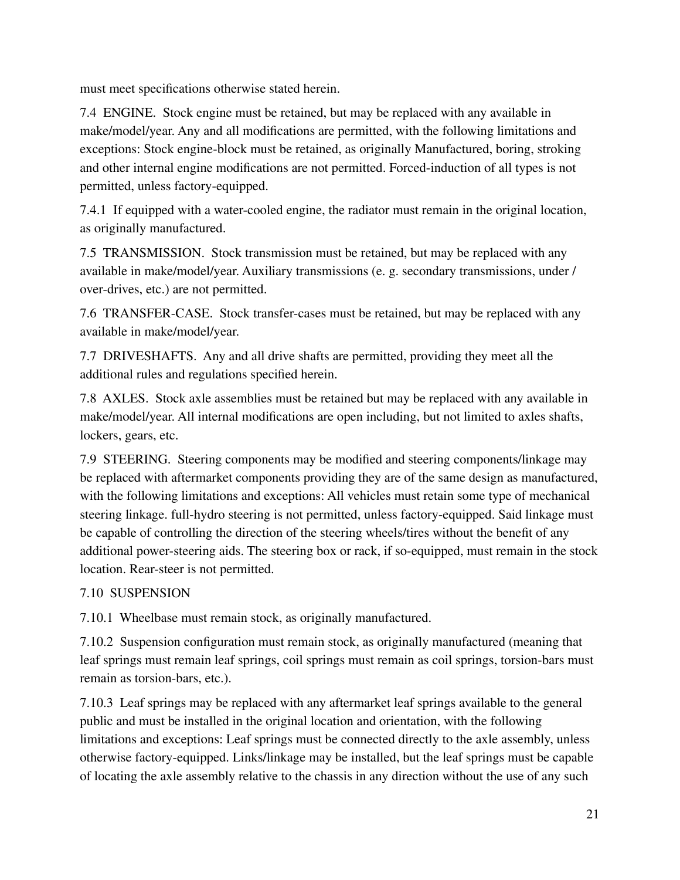must meet specifications otherwise stated herein.

7.4 ENGINE. Stock engine must be retained, but may be replaced with any available in make/model/year. Any and all modifications are permitted, with the following limitations and exceptions: Stock engine-block must be retained, as originally Manufactured, boring, stroking and other internal engine modifications are not permitted. Forced-induction of all types is not permitted, unless factory-equipped.

7.4.1 If equipped with a water-cooled engine, the radiator must remain in the original location, as originally manufactured.

7.5 TRANSMISSION. Stock transmission must be retained, but may be replaced with any available in make/model/year. Auxiliary transmissions (e. g. secondary transmissions, under / over-drives, etc.) are not permitted.

7.6 TRANSFER-CASE. Stock transfer-cases must be retained, but may be replaced with any available in make/model/year.

7.7 DRIVESHAFTS. Any and all drive shafts are permitted, providing they meet all the additional rules and regulations specified herein.

7.8 AXLES. Stock axle assemblies must be retained but may be replaced with any available in make/model/year. All internal modifications are open including, but not limited to axles shafts, lockers, gears, etc.

7.9 STEERING. Steering components may be modified and steering components/linkage may be replaced with aftermarket components providing they are of the same design as manufactured, with the following limitations and exceptions: All vehicles must retain some type of mechanical steering linkage. full-hydro steering is not permitted, unless factory-equipped. Said linkage must be capable of controlling the direction of the steering wheels/tires without the benefit of any additional power-steering aids. The steering box or rack, if so-equipped, must remain in the stock location. Rear-steer is not permitted.

# 7.10 SUSPENSION

7.10.1 Wheelbase must remain stock, as originally manufactured.

7.10.2 Suspension configuration must remain stock, as originally manufactured (meaning that leaf springs must remain leaf springs, coil springs must remain as coil springs, torsion-bars must remain as torsion-bars, etc.).

7.10.3 Leaf springs may be replaced with any aftermarket leaf springs available to the general public and must be installed in the original location and orientation, with the following limitations and exceptions: Leaf springs must be connected directly to the axle assembly, unless otherwise factory-equipped. Links/linkage may be installed, but the leaf springs must be capable of locating the axle assembly relative to the chassis in any direction without the use of any such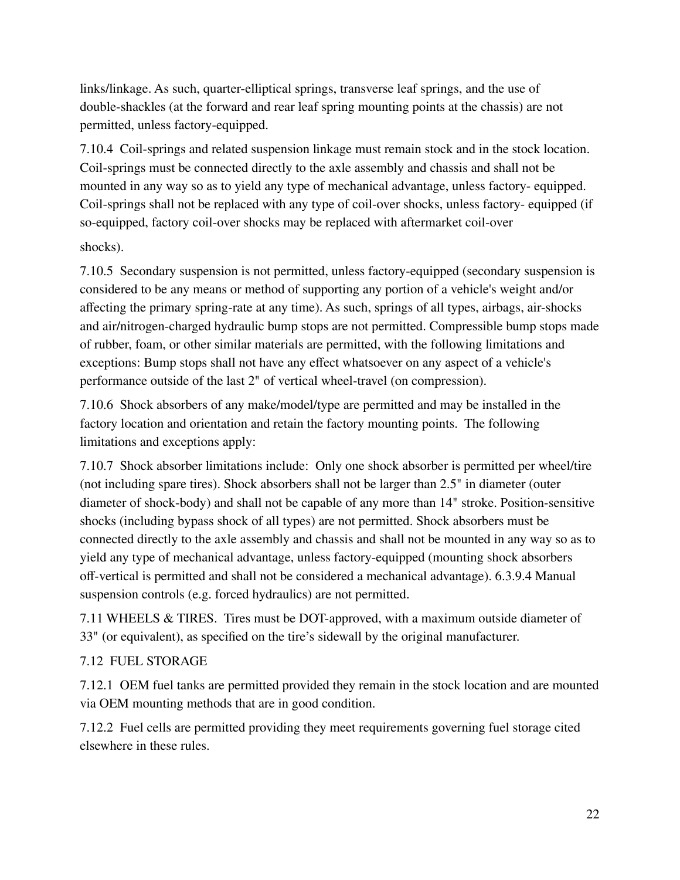links/linkage. As such, quarter-elliptical springs, transverse leaf springs, and the use of double-shackles (at the forward and rear leaf spring mounting points at the chassis) are not permitted, unless factory-equipped.

7.10.4 Coil-springs and related suspension linkage must remain stock and in the stock location. Coil-springs must be connected directly to the axle assembly and chassis and shall not be mounted in any way so as to yield any type of mechanical advantage, unless factory- equipped. Coil-springs shall not be replaced with any type of coil-over shocks, unless factory- equipped (if so-equipped, factory coil-over shocks may be replaced with aftermarket coil-over

shocks).

7.10.5 Secondary suspension is not permitted, unless factory-equipped (secondary suspension is considered to be any means or method of supporting any portion of a vehicle's weight and/or affecting the primary spring-rate at any time). As such, springs of all types, airbags, air-shocks and air/nitrogen-charged hydraulic bump stops are not permitted. Compressible bump stops made of rubber, foam, or other similar materials are permitted, with the following limitations and exceptions: Bump stops shall not have any effect whatsoever on any aspect of a vehicle's performance outside of the last 2" of vertical wheel-travel (on compression).

7.10.6 Shock absorbers of any make/model/type are permitted and may be installed in the factory location and orientation and retain the factory mounting points. The following limitations and exceptions apply:

7.10.7 Shock absorber limitations include: Only one shock absorber is permitted per wheel/tire (not including spare tires). Shock absorbers shall not be larger than 2.5" in diameter (outer diameter of shock-body) and shall not be capable of any more than 14" stroke. Position-sensitive shocks (including bypass shock of all types) are not permitted. Shock absorbers must be connected directly to the axle assembly and chassis and shall not be mounted in any way so as to yield any type of mechanical advantage, unless factory-equipped (mounting shock absorbers off-vertical is permitted and shall not be considered a mechanical advantage). 6.3.9.4 Manual suspension controls (e.g. forced hydraulics) are not permitted.

7.11 WHEELS & TIRES. Tires must be DOT-approved, with a maximum outside diameter of 33" (or equivalent), as specified on the tire's sidewall by the original manufacturer.

# 7.12 FUEL STORAGE

7.12.1 OEM fuel tanks are permitted provided they remain in the stock location and are mounted via OEM mounting methods that are in good condition.

7.12.2 Fuel cells are permitted providing they meet requirements governing fuel storage cited elsewhere in these rules.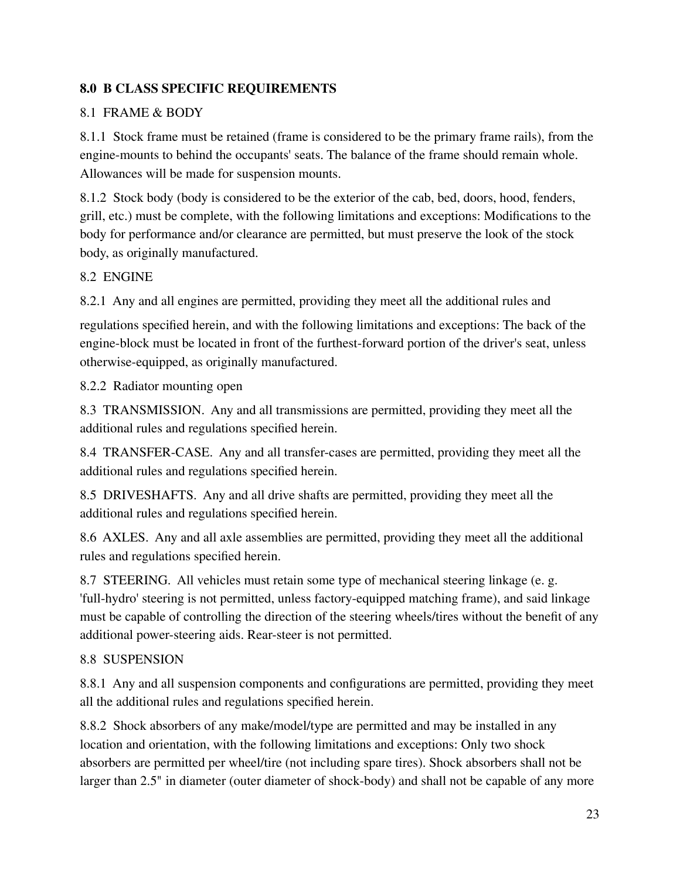# **8.0 B CLASS SPECIFIC REQUIREMENTS**

# 8.1 FRAME & BODY

8.1.1 Stock frame must be retained (frame is considered to be the primary frame rails), from the engine-mounts to behind the occupants' seats. The balance of the frame should remain whole. Allowances will be made for suspension mounts.

8.1.2 Stock body (body is considered to be the exterior of the cab, bed, doors, hood, fenders, grill, etc.) must be complete, with the following limitations and exceptions: Modifications to the body for performance and/or clearance are permitted, but must preserve the look of the stock body, as originally manufactured.

# 8.2 ENGINE

8.2.1 Any and all engines are permitted, providing they meet all the additional rules and

regulations specified herein, and with the following limitations and exceptions: The back of the engine-block must be located in front of the furthest-forward portion of the driver's seat, unless otherwise-equipped, as originally manufactured.

8.2.2 Radiator mounting open

8.3 TRANSMISSION. Any and all transmissions are permitted, providing they meet all the additional rules and regulations specified herein.

8.4 TRANSFER-CASE. Any and all transfer-cases are permitted, providing they meet all the additional rules and regulations specified herein.

8.5 DRIVESHAFTS. Any and all drive shafts are permitted, providing they meet all the additional rules and regulations specified herein.

8.6 AXLES. Any and all axle assemblies are permitted, providing they meet all the additional rules and regulations specified herein.

8.7 STEERING. All vehicles must retain some type of mechanical steering linkage (e. g. 'full-hydro' steering is not permitted, unless factory-equipped matching frame), and said linkage must be capable of controlling the direction of the steering wheels/tires without the benefit of any additional power-steering aids. Rear-steer is not permitted.

# 8.8 SUSPENSION

8.8.1 Any and all suspension components and configurations are permitted, providing they meet all the additional rules and regulations specified herein.

8.8.2 Shock absorbers of any make/model/type are permitted and may be installed in any location and orientation, with the following limitations and exceptions: Only two shock absorbers are permitted per wheel/tire (not including spare tires). Shock absorbers shall not be larger than 2.5" in diameter (outer diameter of shock-body) and shall not be capable of any more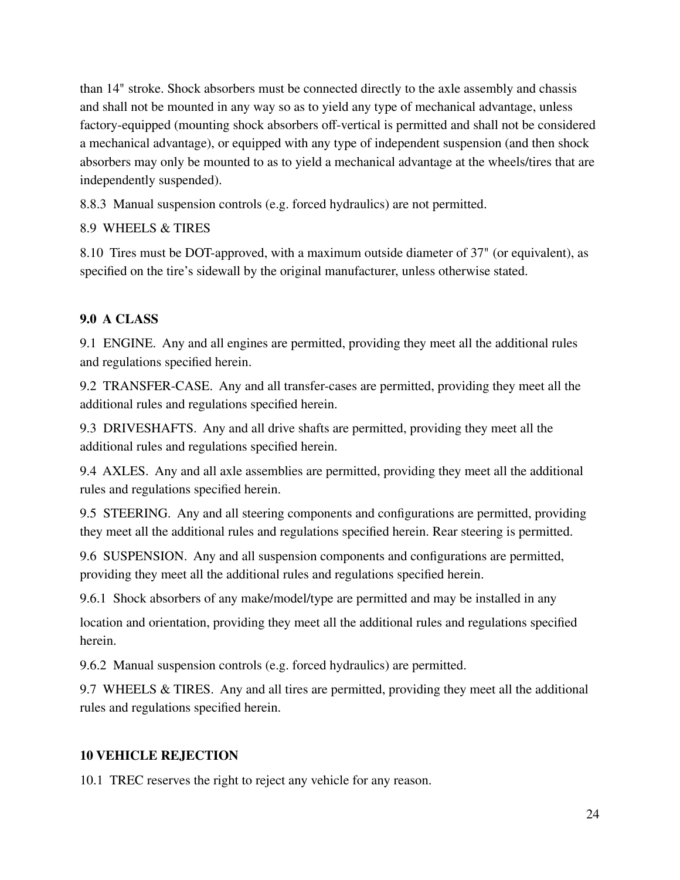than 14" stroke. Shock absorbers must be connected directly to the axle assembly and chassis and shall not be mounted in any way so as to yield any type of mechanical advantage, unless factory-equipped (mounting shock absorbers off-vertical is permitted and shall not be considered a mechanical advantage), or equipped with any type of independent suspension (and then shock absorbers may only be mounted to as to yield a mechanical advantage at the wheels/tires that are independently suspended).

8.8.3 Manual suspension controls (e.g. forced hydraulics) are not permitted.

# 8.9 WHEELS & TIRES

8.10 Tires must be DOT-approved, with a maximum outside diameter of 37" (or equivalent), as specified on the tire's sidewall by the original manufacturer, unless otherwise stated.

# **9.0 A CLASS**

9.1 ENGINE. Any and all engines are permitted, providing they meet all the additional rules and regulations specified herein.

9.2 TRANSFER-CASE. Any and all transfer-cases are permitted, providing they meet all the additional rules and regulations specified herein.

9.3 DRIVESHAFTS. Any and all drive shafts are permitted, providing they meet all the additional rules and regulations specified herein.

9.4 AXLES. Any and all axle assemblies are permitted, providing they meet all the additional rules and regulations specified herein.

9.5 STEERING. Any and all steering components and configurations are permitted, providing they meet all the additional rules and regulations specified herein. Rear steering is permitted.

9.6 SUSPENSION. Any and all suspension components and configurations are permitted, providing they meet all the additional rules and regulations specified herein.

9.6.1 Shock absorbers of any make/model/type are permitted and may be installed in any

location and orientation, providing they meet all the additional rules and regulations specified herein.

9.6.2 Manual suspension controls (e.g. forced hydraulics) are permitted.

9.7 WHEELS & TIRES. Any and all tires are permitted, providing they meet all the additional rules and regulations specified herein.

# **10 VEHICLE REJECTION**

10.1 TREC reserves the right to reject any vehicle for any reason.